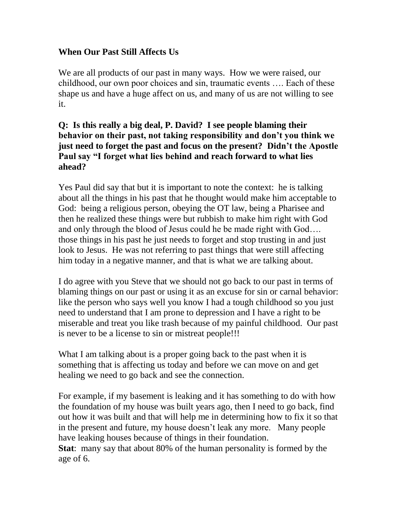### **When Our Past Still Affects Us**

We are all products of our past in many ways. How we were raised, our childhood, our own poor choices and sin, traumatic events …. Each of these shape us and have a huge affect on us, and many of us are not willing to see it.

### **Q: Is this really a big deal, P. David? I see people blaming their behavior on their past, not taking responsibility and don't you think we just need to forget the past and focus on the present? Didn't the Apostle Paul say "I forget what lies behind and reach forward to what lies ahead?**

Yes Paul did say that but it is important to note the context: he is talking about all the things in his past that he thought would make him acceptable to God: being a religious person, obeying the OT law, being a Pharisee and then he realized these things were but rubbish to make him right with God and only through the blood of Jesus could he be made right with God…. those things in his past he just needs to forget and stop trusting in and just look to Jesus. He was not referring to past things that were still affecting him today in a negative manner, and that is what we are talking about.

I do agree with you Steve that we should not go back to our past in terms of blaming things on our past or using it as an excuse for sin or carnal behavior: like the person who says well you know I had a tough childhood so you just need to understand that I am prone to depression and I have a right to be miserable and treat you like trash because of my painful childhood. Our past is never to be a license to sin or mistreat people!!!

What I am talking about is a proper going back to the past when it is something that is affecting us today and before we can move on and get healing we need to go back and see the connection.

For example, if my basement is leaking and it has something to do with how the foundation of my house was built years ago, then I need to go back, find out how it was built and that will help me in determining how to fix it so that in the present and future, my house doesn't leak any more. Many people have leaking houses because of things in their foundation.

**Stat**: many say that about 80% of the human personality is formed by the age of 6.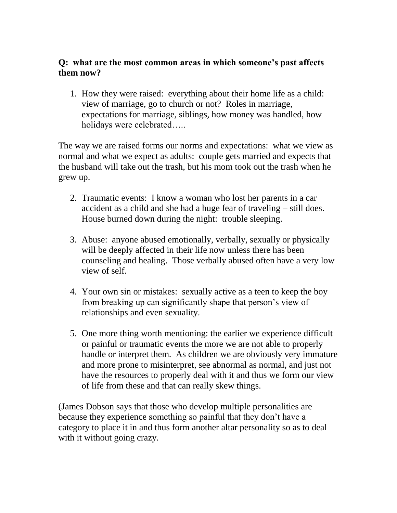#### **Q: what are the most common areas in which someone's past affects them now?**

1. How they were raised: everything about their home life as a child: view of marriage, go to church or not? Roles in marriage, expectations for marriage, siblings, how money was handled, how holidays were celebrated…..

The way we are raised forms our norms and expectations: what we view as normal and what we expect as adults: couple gets married and expects that the husband will take out the trash, but his mom took out the trash when he grew up.

- 2. Traumatic events: I know a woman who lost her parents in a car accident as a child and she had a huge fear of traveling – still does. House burned down during the night: trouble sleeping.
- 3. Abuse: anyone abused emotionally, verbally, sexually or physically will be deeply affected in their life now unless there has been counseling and healing. Those verbally abused often have a very low view of self.
- 4. Your own sin or mistakes: sexually active as a teen to keep the boy from breaking up can significantly shape that person's view of relationships and even sexuality.
- 5. One more thing worth mentioning: the earlier we experience difficult or painful or traumatic events the more we are not able to properly handle or interpret them. As children we are obviously very immature and more prone to misinterpret, see abnormal as normal, and just not have the resources to properly deal with it and thus we form our view of life from these and that can really skew things.

(James Dobson says that those who develop multiple personalities are because they experience something so painful that they don't have a category to place it in and thus form another altar personality so as to deal with it without going crazy.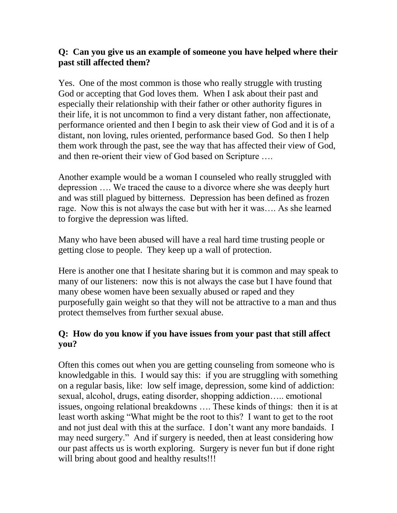## **Q: Can you give us an example of someone you have helped where their past still affected them?**

Yes. One of the most common is those who really struggle with trusting God or accepting that God loves them. When I ask about their past and especially their relationship with their father or other authority figures in their life, it is not uncommon to find a very distant father, non affectionate, performance oriented and then I begin to ask their view of God and it is of a distant, non loving, rules oriented, performance based God. So then I help them work through the past, see the way that has affected their view of God, and then re-orient their view of God based on Scripture ….

Another example would be a woman I counseled who really struggled with depression …. We traced the cause to a divorce where she was deeply hurt and was still plagued by bitterness. Depression has been defined as frozen rage. Now this is not always the case but with her it was…. As she learned to forgive the depression was lifted.

Many who have been abused will have a real hard time trusting people or getting close to people. They keep up a wall of protection.

Here is another one that I hesitate sharing but it is common and may speak to many of our listeners: now this is not always the case but I have found that many obese women have been sexually abused or raped and they purposefully gain weight so that they will not be attractive to a man and thus protect themselves from further sexual abuse.

# **Q: How do you know if you have issues from your past that still affect you?**

Often this comes out when you are getting counseling from someone who is knowledgable in this. I would say this: if you are struggling with something on a regular basis, like: low self image, depression, some kind of addiction: sexual, alcohol, drugs, eating disorder, shopping addiction….. emotional issues, ongoing relational breakdowns …. These kinds of things: then it is at least worth asking "What might be the root to this? I want to get to the root and not just deal with this at the surface. I don't want any more bandaids. I may need surgery." And if surgery is needed, then at least considering how our past affects us is worth exploring. Surgery is never fun but if done right will bring about good and healthy results!!!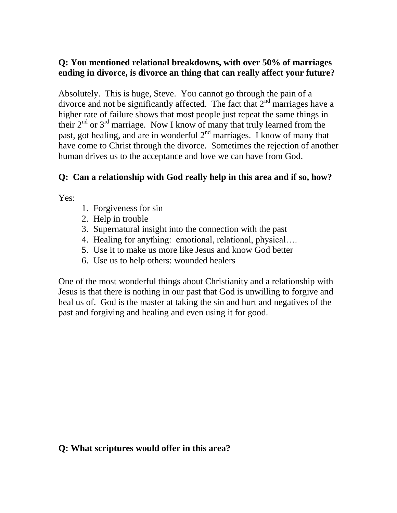### **Q: You mentioned relational breakdowns, with over 50% of marriages ending in divorce, is divorce an thing that can really affect your future?**

Absolutely. This is huge, Steve. You cannot go through the pain of a divorce and not be significantly affected. The fact that  $2<sup>nd</sup>$  marriages have a higher rate of failure shows that most people just repeat the same things in their  $2^{nd}$  or  $3^{rd}$  marriage. Now I know of many that truly learned from the past, got healing, and are in wonderful  $2<sup>nd</sup>$  marriages. I know of many that have come to Christ through the divorce. Sometimes the rejection of another human drives us to the acceptance and love we can have from God.

## **Q: Can a relationship with God really help in this area and if so, how?**

Yes:

- 1. Forgiveness for sin
- 2. Help in trouble
- 3. Supernatural insight into the connection with the past
- 4. Healing for anything: emotional, relational, physical….
- 5. Use it to make us more like Jesus and know God better
- 6. Use us to help others: wounded healers

One of the most wonderful things about Christianity and a relationship with Jesus is that there is nothing in our past that God is unwilling to forgive and heal us of. God is the master at taking the sin and hurt and negatives of the past and forgiving and healing and even using it for good.

# **Q: What scriptures would offer in this area?**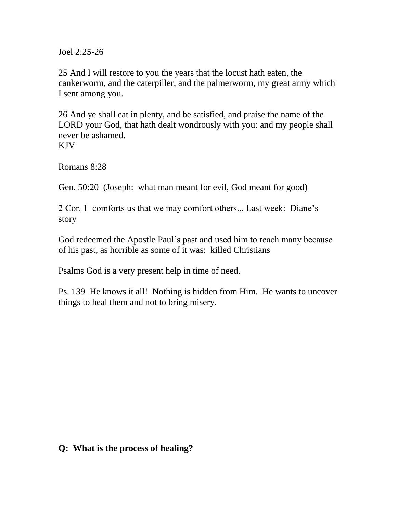Joel 2:25-26

25 And I will restore to you the years that the locust hath eaten, the cankerworm, and the caterpiller, and the palmerworm, my great army which I sent among you.

26 And ye shall eat in plenty, and be satisfied, and praise the name of the LORD your God, that hath dealt wondrously with you: and my people shall never be ashamed. KJV

Romans 8:28

Gen. 50:20 (Joseph: what man meant for evil, God meant for good)

2 Cor. 1 comforts us that we may comfort others... Last week: Diane's story

God redeemed the Apostle Paul's past and used him to reach many because of his past, as horrible as some of it was: killed Christians

Psalms God is a very present help in time of need.

Ps. 139 He knows it all! Nothing is hidden from Him. He wants to uncover things to heal them and not to bring misery.

#### **Q: What is the process of healing?**